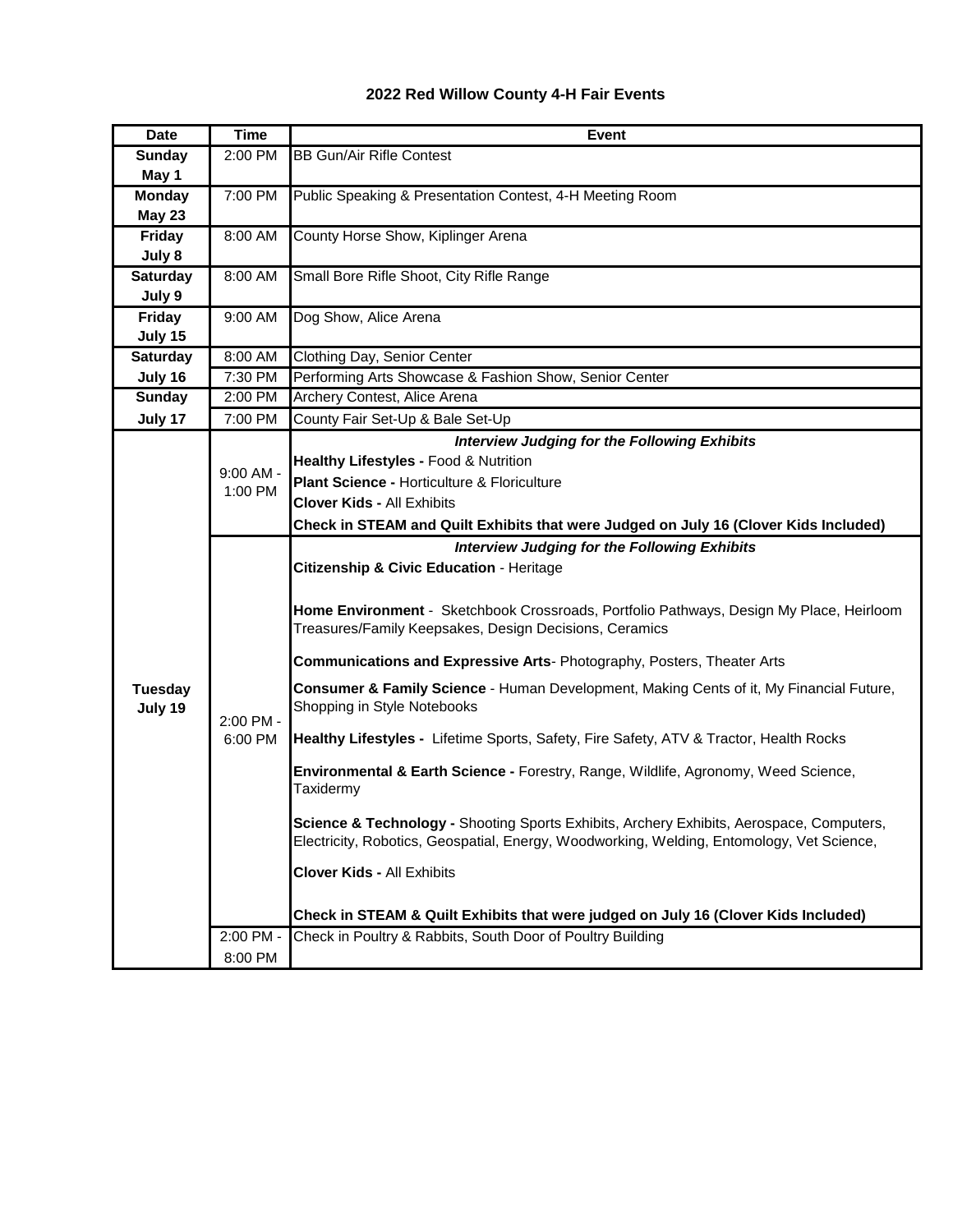## **2022 Red Willow County 4-H Fair Events**

| <b>Date</b>               | <b>Time</b>            | <b>Event</b>                                                                                                                                                                          |
|---------------------------|------------------------|---------------------------------------------------------------------------------------------------------------------------------------------------------------------------------------|
| <b>Sunday</b>             | 2:00 PM                | <b>BB Gun/Air Rifle Contest</b>                                                                                                                                                       |
| May 1                     |                        |                                                                                                                                                                                       |
| <b>Monday</b>             | 7:00 PM                | Public Speaking & Presentation Contest, 4-H Meeting Room                                                                                                                              |
| <b>May 23</b>             |                        |                                                                                                                                                                                       |
| Friday                    | 8:00 AM                | County Horse Show, Kiplinger Arena                                                                                                                                                    |
| July 8                    |                        |                                                                                                                                                                                       |
| <b>Saturday</b>           | 8:00 AM                | Small Bore Rifle Shoot, City Rifle Range                                                                                                                                              |
| July 9                    |                        |                                                                                                                                                                                       |
| Friday                    | 9:00 AM                | Dog Show, Alice Arena                                                                                                                                                                 |
| July 15                   |                        |                                                                                                                                                                                       |
| <b>Saturday</b>           | 8:00 AM                | Clothing Day, Senior Center                                                                                                                                                           |
| July 16                   | 7:30 PM                | Performing Arts Showcase & Fashion Show, Senior Center                                                                                                                                |
| <b>Sunday</b>             | 2:00 PM                | Archery Contest, Alice Arena                                                                                                                                                          |
| July 17                   | 7:00 PM                | County Fair Set-Up & Bale Set-Up                                                                                                                                                      |
|                           |                        | <b>Interview Judging for the Following Exhibits</b>                                                                                                                                   |
|                           | $9:00$ AM -<br>1:00 PM | Healthy Lifestyles - Food & Nutrition                                                                                                                                                 |
|                           |                        | Plant Science - Horticulture & Floriculture                                                                                                                                           |
|                           |                        | <b>Clover Kids - All Exhibits</b>                                                                                                                                                     |
|                           |                        | Check in STEAM and Quilt Exhibits that were Judged on July 16 (Clover Kids Included)                                                                                                  |
|                           |                        | <b>Interview Judging for the Following Exhibits</b>                                                                                                                                   |
|                           | 2:00 PM -<br>6:00 PM   | <b>Citizenship &amp; Civic Education - Heritage</b>                                                                                                                                   |
|                           |                        |                                                                                                                                                                                       |
|                           |                        | Home Environment - Sketchbook Crossroads, Portfolio Pathways, Design My Place, Heirloom                                                                                               |
|                           |                        | Treasures/Family Keepsakes, Design Decisions, Ceramics                                                                                                                                |
| <b>Tuesday</b><br>July 19 |                        | Communications and Expressive Arts- Photography, Posters, Theater Arts                                                                                                                |
|                           |                        | Consumer & Family Science - Human Development, Making Cents of it, My Financial Future,<br>Shopping in Style Notebooks                                                                |
|                           |                        | Healthy Lifestyles - Lifetime Sports, Safety, Fire Safety, ATV & Tractor, Health Rocks                                                                                                |
|                           |                        | Environmental & Earth Science - Forestry, Range, Wildlife, Agronomy, Weed Science,<br>Taxidermy                                                                                       |
|                           |                        | Science & Technology - Shooting Sports Exhibits, Archery Exhibits, Aerospace, Computers,<br>Electricity, Robotics, Geospatial, Energy, Woodworking, Welding, Entomology, Vet Science, |
|                           |                        | <b>Clover Kids - All Exhibits</b>                                                                                                                                                     |
|                           |                        | Check in STEAM & Quilt Exhibits that were judged on July 16 (Clover Kids Included)                                                                                                    |
|                           | 2:00 PM -              | Check in Poultry & Rabbits, South Door of Poultry Building                                                                                                                            |
|                           | 8:00 PM                |                                                                                                                                                                                       |